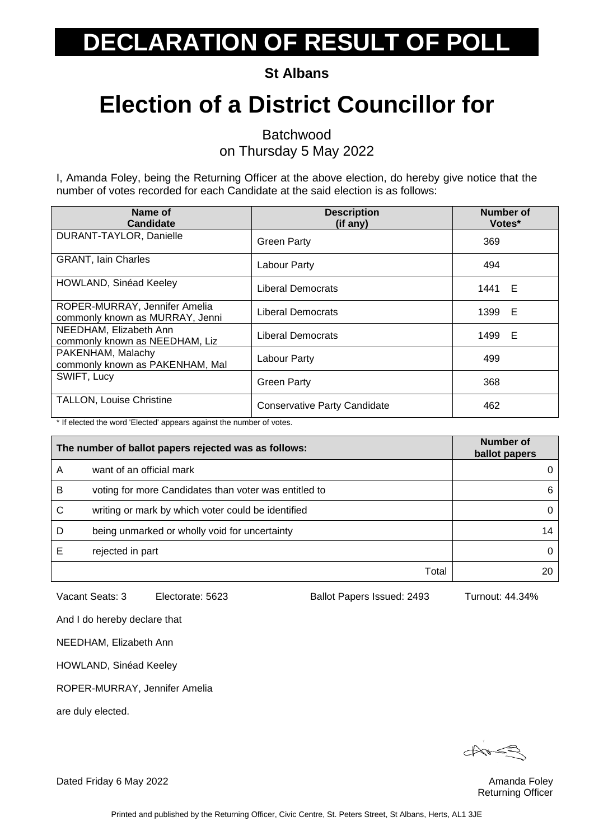**St Albans**

### **Election of a District Councillor for**

Batchwood

on Thursday 5 May 2022

I, Amanda Foley, being the Returning Officer at the above election, do hereby give notice that the number of votes recorded for each Candidate at the said election is as follows:

| Name of<br><b>Candidate</b>                                      | <b>Description</b><br>(if any)      | Number of<br>Votes* |
|------------------------------------------------------------------|-------------------------------------|---------------------|
| DURANT-TAYLOR, Danielle                                          | <b>Green Party</b>                  | 369                 |
| <b>GRANT, Iain Charles</b>                                       | Labour Party                        | 494                 |
| <b>HOWLAND, Sinéad Keeley</b>                                    | Liberal Democrats                   | 1441 E              |
| ROPER-MURRAY, Jennifer Amelia<br>commonly known as MURRAY, Jenni | <b>Liberal Democrats</b>            | 1399 E              |
| NEEDHAM, Elizabeth Ann<br>commonly known as NEEDHAM, Liz         | Liberal Democrats                   | 1499 E              |
| PAKENHAM, Malachy<br>commonly known as PAKENHAM, Mal             | Labour Party                        | 499                 |
| SWIFT, Lucy                                                      | <b>Green Party</b>                  | 368                 |
| <b>TALLON, Louise Christine</b>                                  | <b>Conservative Party Candidate</b> | 462                 |

\* If elected the word 'Elected' appears against the number of votes.

|   | The number of ballot papers rejected was as follows:  | Number of<br>ballot papers |
|---|-------------------------------------------------------|----------------------------|
| A | want of an official mark                              | 0                          |
| в | voting for more Candidates than voter was entitled to | 6                          |
| С | writing or mark by which voter could be identified    | 0                          |
| D | being unmarked or wholly void for uncertainty         | 14                         |
|   | rejected in part                                      | 0                          |
|   | Total                                                 |                            |

Vacant Seats: 3 Electorate: 5623 Ballot Papers Issued: 2493 Turnout: 44.34%

And I do hereby declare that

NEEDHAM, Elizabeth Ann

HOWLAND, Sinéad Keeley

ROPER-MURRAY, Jennifer Amelia

are duly elected.

Returning Officer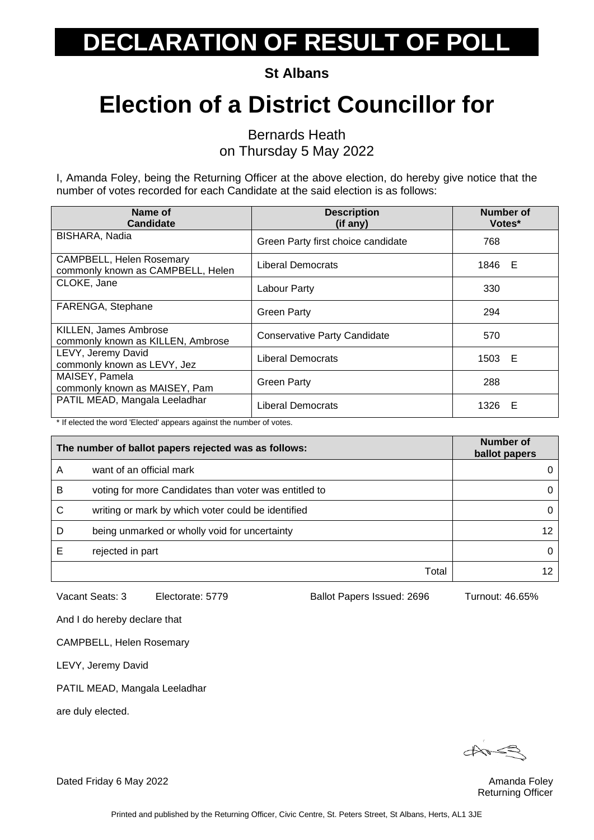**St Albans**

### **Election of a District Councillor for**

Bernards Heath

on Thursday 5 May 2022

I, Amanda Foley, being the Returning Officer at the above election, do hereby give notice that the number of votes recorded for each Candidate at the said election is as follows:

| Name of<br><b>Candidate</b>                                   | <b>Description</b><br>(if any)      | Number of<br>Votes* |
|---------------------------------------------------------------|-------------------------------------|---------------------|
| BISHARA, Nadia                                                | Green Party first choice candidate  | 768                 |
| CAMPBELL, Helen Rosemary<br>commonly known as CAMPBELL, Helen | Liberal Democrats                   | 1846 E              |
| CLOKE, Jane                                                   | Labour Party                        | 330                 |
| FARENGA, Stephane                                             | <b>Green Party</b>                  | 294                 |
| KILLEN, James Ambrose<br>commonly known as KILLEN, Ambrose    | <b>Conservative Party Candidate</b> | 570                 |
| LEVY, Jeremy David<br>commonly known as LEVY, Jez             | Liberal Democrats                   | 1503 E              |
| MAISEY, Pamela<br>commonly known as MAISEY, Pam               | <b>Green Party</b>                  | 288                 |
| PATIL MEAD, Mangala Leeladhar                                 | Liberal Democrats                   | 1326 E              |

\* If elected the word 'Elected' appears against the number of votes.

|   | The number of ballot papers rejected was as follows:  | Number of<br>ballot papers |
|---|-------------------------------------------------------|----------------------------|
| A | want of an official mark                              | 0                          |
| в | voting for more Candidates than voter was entitled to | 0                          |
| С | writing or mark by which voter could be identified    | 0                          |
| D | being unmarked or wholly void for uncertainty         | 12                         |
|   | rejected in part                                      | 0                          |
|   | Total                                                 |                            |

Vacant Seats: 3 Electorate: 5779 Ballot Papers Issued: 2696 Turnout: 46.65%

And I do hereby declare that

CAMPBELL, Helen Rosemary

LEVY, Jeremy David

PATIL MEAD, Mangala Leeladhar

are duly elected.

 $\overrightarrow{a}$ 

Returning Officer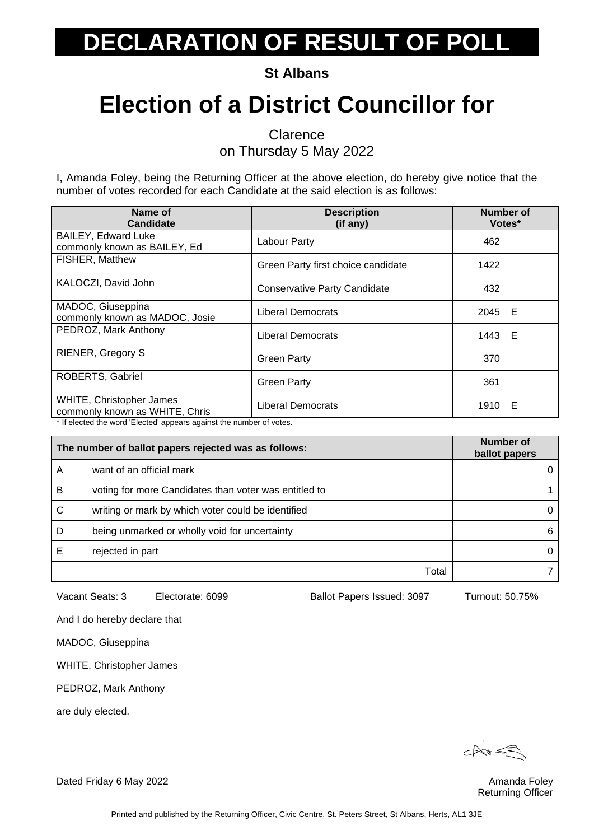**St Albans**

### **Election of a District Councillor for**

**Clarence** 

on Thursday 5 May 2022

I, Amanda Foley, being the Returning Officer at the above election, do hereby give notice that the number of votes recorded for each Candidate at the said election is as follows:

| Name of<br><b>Candidate</b>                                | <b>Description</b><br>(if any)      | Number of<br>Votes* |
|------------------------------------------------------------|-------------------------------------|---------------------|
| <b>BAILEY, Edward Luke</b><br>commonly known as BAILEY, Ed | Labour Party                        | 462                 |
| FISHER, Matthew                                            | Green Party first choice candidate  | 1422                |
| KALOCZI, David John                                        | <b>Conservative Party Candidate</b> | 432                 |
| MADOC, Giuseppina<br>commonly known as MADOC, Josie        | <b>Liberal Democrats</b>            | 2045 E              |
| PEDROZ, Mark Anthony                                       | <b>Liberal Democrats</b>            | 1443 E              |
| <b>RIENER, Gregory S</b>                                   | <b>Green Party</b>                  | 370                 |
| <b>ROBERTS, Gabriel</b>                                    | <b>Green Party</b>                  | 361                 |
| WHITE, Christopher James<br>commonly known as WHITE, Chris | <b>Liberal Democrats</b>            | 1910 E              |

If elected the word 'Elected' appears against the number of votes.

| The number of ballot papers rejected was as follows: |                                                       | Number of<br>ballot papers |
|------------------------------------------------------|-------------------------------------------------------|----------------------------|
| A                                                    | want of an official mark                              |                            |
| в                                                    | voting for more Candidates than voter was entitled to |                            |
| С                                                    | writing or mark by which voter could be identified    | 0                          |
| D                                                    | being unmarked or wholly void for uncertainty         | 6                          |
|                                                      | rejected in part                                      | 0                          |
|                                                      | Total                                                 |                            |

Vacant Seats: 3 Electorate: 6099 Ballot Papers Issued: 3097 Turnout: 50.75%

And I do hereby declare that

MADOC, Giuseppina

WHITE, Christopher James

PEDROZ, Mark Anthony

are duly elected.

Returning Officer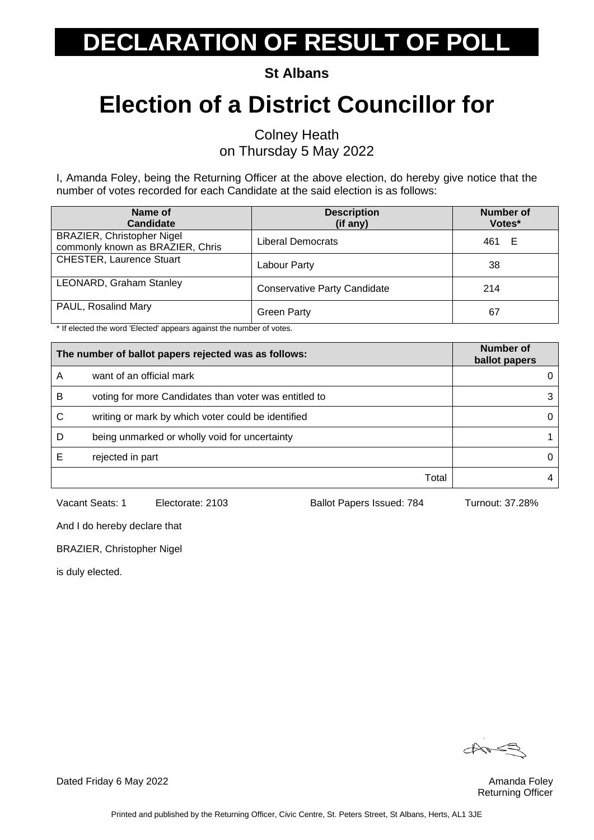**St Albans**

# **Election of a District Councillor for**

Colney Heath on Thursday 5 May 2022

I, Amanda Foley, being the Returning Officer at the above election, do hereby give notice that the number of votes recorded for each Candidate at the said election is as follows:

| Name of<br><b>Candidate</b>                                           | <b>Description</b><br>(if any)      | <b>Number of</b><br>Votes* |
|-----------------------------------------------------------------------|-------------------------------------|----------------------------|
| <b>BRAZIER, Christopher Nigel</b><br>commonly known as BRAZIER, Chris | Liberal Democrats                   | 461 E                      |
| <b>CHESTER, Laurence Stuart</b>                                       | Labour Party                        | 38                         |
| LEONARD, Graham Stanley                                               | <b>Conservative Party Candidate</b> | 214                        |
| PAUL, Rosalind Mary                                                   | <b>Green Party</b>                  | 67                         |

\* If elected the word 'Elected' appears against the number of votes.

| The number of ballot papers rejected was as follows: |                                                       | Number of<br>ballot papers |
|------------------------------------------------------|-------------------------------------------------------|----------------------------|
| Α                                                    | want of an official mark                              |                            |
| B                                                    | voting for more Candidates than voter was entitled to |                            |
| С                                                    | writing or mark by which voter could be identified    |                            |
| D                                                    | being unmarked or wholly void for uncertainty         |                            |
|                                                      | rejected in part                                      |                            |
|                                                      | Total                                                 |                            |

Vacant Seats: 1 Electorate: 2103 Ballot Papers Issued: 784 Turnout: 37.28%

And I do hereby declare that

BRAZIER, Christopher Nigel

is duly elected.

 $\forall x$ 

Returning Officer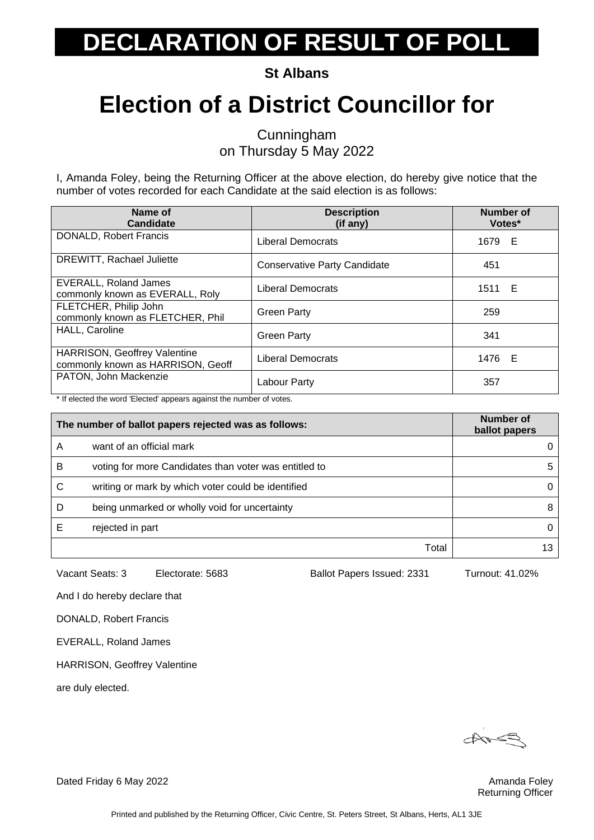**St Albans**

### **Election of a District Councillor for**

Cunningham on Thursday 5 May 2022

I, Amanda Foley, being the Returning Officer at the above election, do hereby give notice that the number of votes recorded for each Candidate at the said election is as follows:

| Name of<br><b>Candidate</b>                                       | <b>Description</b><br>(if any)      | <b>Number of</b><br>Votes* |
|-------------------------------------------------------------------|-------------------------------------|----------------------------|
| <b>DONALD, Robert Francis</b>                                     | Liberal Democrats                   | 1679 E                     |
| DREWITT, Rachael Juliette                                         | <b>Conservative Party Candidate</b> | 451                        |
| EVERALL, Roland James<br>commonly known as EVERALL, Roly          | Liberal Democrats                   | 1511 E                     |
| FLETCHER, Philip John<br>commonly known as FLETCHER, Phil         | <b>Green Party</b>                  | 259                        |
| HALL, Caroline                                                    | <b>Green Party</b>                  | 341                        |
| HARRISON, Geoffrey Valentine<br>commonly known as HARRISON, Geoff | <b>Liberal Democrats</b>            | 1476 E                     |
| PATON, John Mackenzie                                             | Labour Party                        | 357                        |

\* If elected the word 'Elected' appears against the number of votes.

|   | The number of ballot papers rejected was as follows:  | Number of<br>ballot papers |
|---|-------------------------------------------------------|----------------------------|
| A | want of an official mark                              |                            |
| B | voting for more Candidates than voter was entitled to | 5                          |
| С | writing or mark by which voter could be identified    | 0                          |
| D | being unmarked or wholly void for uncertainty         | 8                          |
|   | rejected in part                                      | 0                          |
|   | Total                                                 |                            |

Vacant Seats: 3 Electorate: 5683 Ballot Papers Issued: 2331 Turnout: 41.02%

And I do hereby declare that

DONALD, Robert Francis

EVERALL, Roland James

HARRISON, Geoffrey Valentine

are duly elected.

 $\triangle$ 

Returning Officer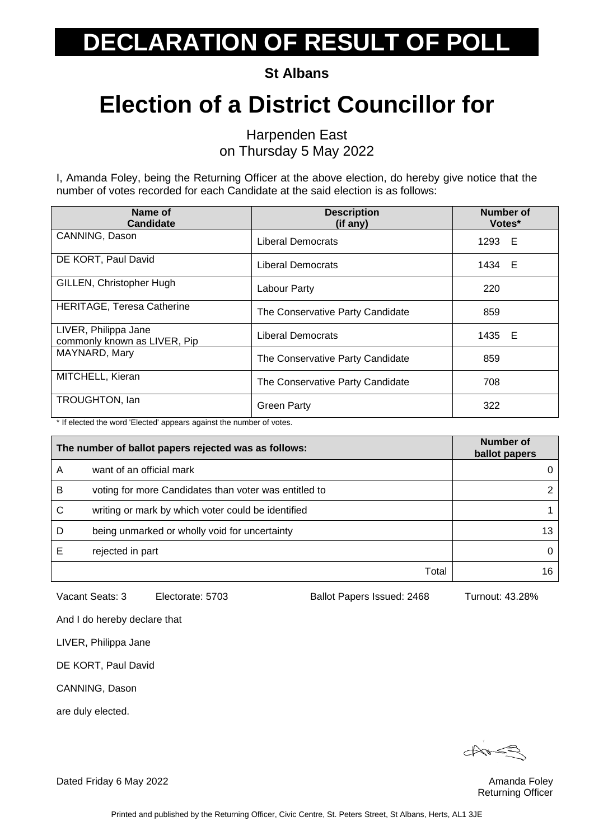**St Albans**

### **Election of a District Councillor for**

Harpenden East on Thursday 5 May 2022

I, Amanda Foley, being the Returning Officer at the above election, do hereby give notice that the number of votes recorded for each Candidate at the said election is as follows:

| Name of<br>Candidate                                 | <b>Description</b><br>(if any)   | Number of<br>Votes* |
|------------------------------------------------------|----------------------------------|---------------------|
| CANNING, Dason                                       | Liberal Democrats                | 1293 E              |
| DE KORT, Paul David                                  | Liberal Democrats                | 1434 E              |
| GILLEN, Christopher Hugh                             | Labour Party                     | 220                 |
| HERITAGE, Teresa Catherine                           | The Conservative Party Candidate | 859                 |
| LIVER, Philippa Jane<br>commonly known as LIVER, Pip | Liberal Democrats                | 1435 E              |
| MAYNARD, Mary                                        | The Conservative Party Candidate | 859                 |
| MITCHELL, Kieran                                     | The Conservative Party Candidate | 708                 |
| TROUGHTON, Ian                                       | <b>Green Party</b>               | 322                 |

\* If elected the word 'Elected' appears against the number of votes.

| The number of ballot papers rejected was as follows: |                                                       | Number of<br>ballot papers |
|------------------------------------------------------|-------------------------------------------------------|----------------------------|
| А                                                    | want of an official mark                              | 0                          |
| B                                                    | voting for more Candidates than voter was entitled to | $\mathcal{P}$              |
| С                                                    | writing or mark by which voter could be identified    |                            |
| D                                                    | being unmarked or wholly void for uncertainty         | 13                         |
|                                                      | rejected in part                                      | 0                          |
|                                                      | Total                                                 | 16                         |

Vacant Seats: 3 Electorate: 5703 Ballot Papers Issued: 2468 Turnout: 43.28%

And I do hereby declare that

LIVER, Philippa Jane

DE KORT, Paul David

CANNING, Dason

are duly elected.

 $\overrightarrow{a}$ 

Returning Officer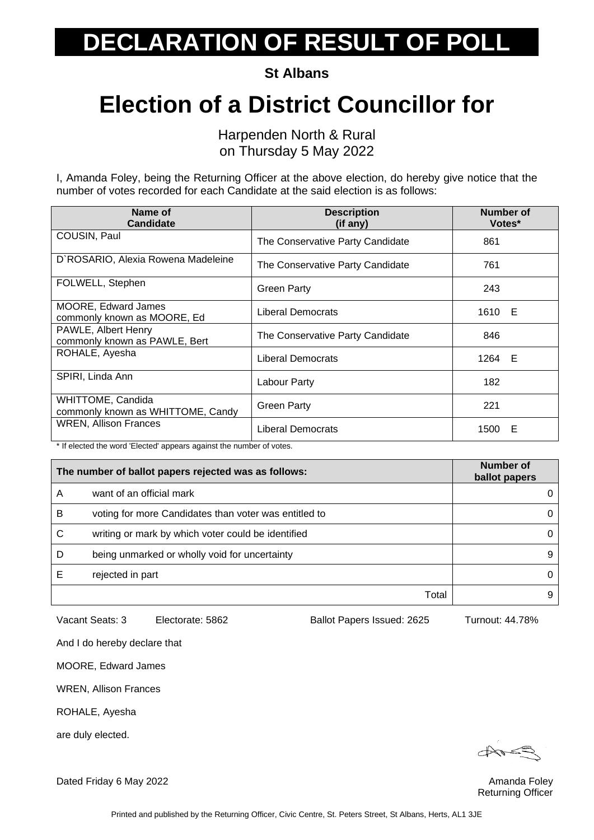**St Albans**

#### **Election of a District Councillor for**

Harpenden North & Rural on Thursday 5 May 2022

I, Amanda Foley, being the Returning Officer at the above election, do hereby give notice that the number of votes recorded for each Candidate at the said election is as follows:

| Name of<br><b>Candidate</b>                                | <b>Description</b><br>(if any)   | Number of<br>Votes* |
|------------------------------------------------------------|----------------------------------|---------------------|
| COUSIN, Paul                                               | The Conservative Party Candidate | 861                 |
| D'ROSARIO, Alexia Rowena Madeleine                         | The Conservative Party Candidate | 761                 |
| FOLWELL, Stephen                                           | Green Party                      | 243                 |
| <b>MOORE, Edward James</b><br>commonly known as MOORE, Ed. | Liberal Democrats                | 1610 E              |
| PAWLE, Albert Henry<br>commonly known as PAWLE, Bert       | The Conservative Party Candidate | 846                 |
| ROHALE, Ayesha                                             | <b>Liberal Democrats</b>         | 1264 E              |
| SPIRI, Linda Ann                                           | Labour Party                     | 182                 |
| WHITTOME, Candida<br>commonly known as WHITTOME, Candy     | <b>Green Party</b>               | 221                 |
| WREN, Allison Frances                                      | Liberal Democrats                | 1500<br>Е           |

\* If elected the word 'Elected' appears against the number of votes.

| The number of ballot papers rejected was as follows: |                                                       | Number of<br>ballot papers |
|------------------------------------------------------|-------------------------------------------------------|----------------------------|
| Α                                                    | want of an official mark                              |                            |
| B                                                    | voting for more Candidates than voter was entitled to | 0                          |
| С                                                    | writing or mark by which voter could be identified    | 0                          |
| D                                                    | being unmarked or wholly void for uncertainty         | 9                          |
|                                                      | rejected in part                                      | 0                          |
|                                                      | Total                                                 | 9                          |

Vacant Seats: 3 Electorate: 5862 Ballot Papers Issued: 2625 Turnout: 44.78%

And I do hereby declare that

MOORE, Edward James

WREN, Allison Frances

ROHALE, Ayesha

are duly elected.

Returning Officer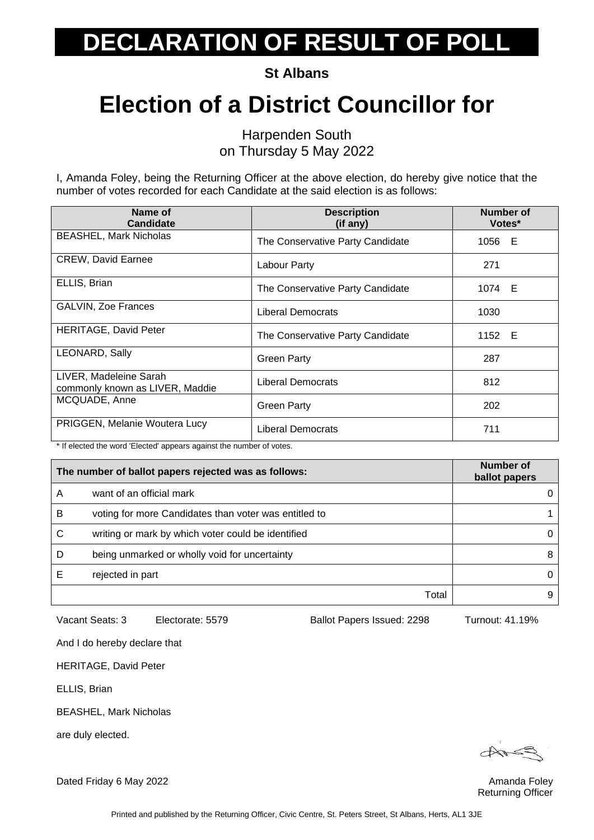**St Albans**

### **Election of a District Councillor for**

Harpenden South on Thursday 5 May 2022

I, Amanda Foley, being the Returning Officer at the above election, do hereby give notice that the number of votes recorded for each Candidate at the said election is as follows:

| Name of<br><b>Candidate</b>                               | <b>Description</b><br>(if any)   | Number of<br>Votes* |
|-----------------------------------------------------------|----------------------------------|---------------------|
| <b>BEASHEL, Mark Nicholas</b>                             | The Conservative Party Candidate | 1056 E              |
| <b>CREW, David Earnee</b>                                 | Labour Party                     | 271                 |
| ELLIS, Brian                                              | The Conservative Party Candidate | 1074 E              |
| <b>GALVIN, Zoe Frances</b>                                | Liberal Democrats                | 1030                |
| <b>HERITAGE, David Peter</b>                              | The Conservative Party Candidate | 1152 E              |
| LEONARD, Sally                                            | <b>Green Party</b>               | 287                 |
| LIVER, Madeleine Sarah<br>commonly known as LIVER, Maddie | Liberal Democrats                | 812                 |
| MCQUADE, Anne                                             | <b>Green Party</b>               | 202                 |
| PRIGGEN, Melanie Woutera Lucy                             | Liberal Democrats                | 711                 |

\* If elected the word 'Elected' appears against the number of votes.

| The number of ballot papers rejected was as follows: |                                                       | Number of<br>ballot papers |
|------------------------------------------------------|-------------------------------------------------------|----------------------------|
| Α                                                    | want of an official mark                              |                            |
| в                                                    | voting for more Candidates than voter was entitled to |                            |
| C                                                    | writing or mark by which voter could be identified    | 0                          |
| D                                                    | being unmarked or wholly void for uncertainty         | 8                          |
| E                                                    | rejected in part                                      | 0                          |
|                                                      | Total                                                 | 9                          |

Vacant Seats: 3 Electorate: 5579 Ballot Papers Issued: 2298 Turnout: 41.19%

And I do hereby declare that

HERITAGE, David Peter

ELLIS, Brian

BEASHEL, Mark Nicholas

are duly elected.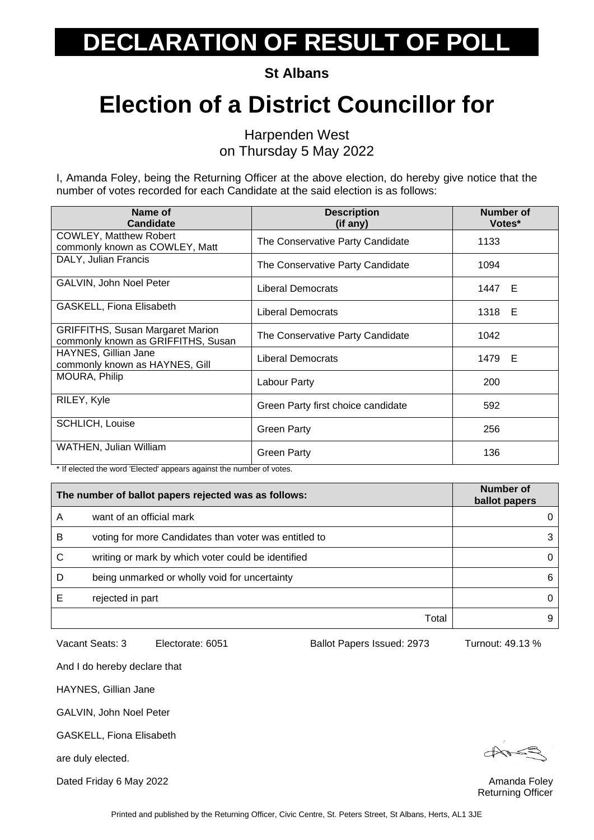**St Albans**

### **Election of a District Councillor for**

Harpenden West on Thursday 5 May 2022

I, Amanda Foley, being the Returning Officer at the above election, do hereby give notice that the number of votes recorded for each Candidate at the said election is as follows:

| Name of<br><b>Candidate</b>                                                   | <b>Description</b><br>(if any)     | Number of<br>Votes* |
|-------------------------------------------------------------------------------|------------------------------------|---------------------|
| <b>COWLEY, Matthew Robert</b><br>commonly known as COWLEY, Matt               | The Conservative Party Candidate   | 1133                |
| DALY, Julian Francis                                                          | The Conservative Party Candidate   | 1094                |
| <b>GALVIN, John Noel Peter</b>                                                | Liberal Democrats                  | 1447<br>E           |
| GASKELL, Fiona Elisabeth                                                      | <b>Liberal Democrats</b>           | 1318 E              |
| <b>GRIFFITHS, Susan Margaret Marion</b><br>commonly known as GRIFFITHS, Susan | The Conservative Party Candidate   | 1042                |
| HAYNES, Gillian Jane<br>commonly known as HAYNES, Gill                        | <b>Liberal Democrats</b>           | 1479 E              |
| MOURA, Philip                                                                 | Labour Party                       | 200                 |
| RILEY, Kyle                                                                   | Green Party first choice candidate | 592                 |
| <b>SCHLICH, Louise</b>                                                        | Green Party                        | 256                 |
| WATHEN, Julian William                                                        | <b>Green Party</b>                 | 136                 |

\* If elected the word 'Elected' appears against the number of votes.

| The number of ballot papers rejected was as follows: |                                                       | Number of<br>ballot papers |
|------------------------------------------------------|-------------------------------------------------------|----------------------------|
| Α                                                    | want of an official mark                              |                            |
| в                                                    | voting for more Candidates than voter was entitled to | 3                          |
| C                                                    | writing or mark by which voter could be identified    | 0                          |
| D                                                    | being unmarked or wholly void for uncertainty         | 6                          |
|                                                      | rejected in part                                      | 0                          |
|                                                      | Total                                                 | 9                          |

Vacant Seats: 3 Electorate: 6051 Ballot Papers Issued: 2973 Turnout: 49.13 %

And I do hereby declare that

HAYNES, Gillian Jane

GALVIN, John Noel Peter

GASKELL, Fiona Elisabeth

are duly elected.

Returning Officer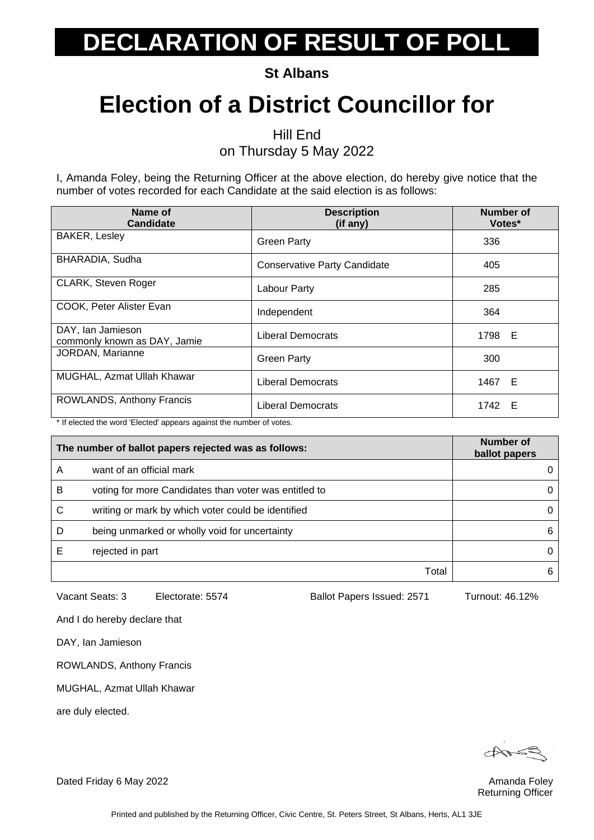**St Albans**

### **Election of a District Councillor for**

Hill End

on Thursday 5 May 2022

I, Amanda Foley, being the Returning Officer at the above election, do hereby give notice that the number of votes recorded for each Candidate at the said election is as follows:

| Name of<br><b>Candidate</b>                       | <b>Description</b><br>(if any)      | Number of<br>Votes* |
|---------------------------------------------------|-------------------------------------|---------------------|
| <b>BAKER, Lesley</b>                              | <b>Green Party</b>                  | 336                 |
| BHARADIA, Sudha                                   | <b>Conservative Party Candidate</b> | 405                 |
| <b>CLARK, Steven Roger</b>                        | Labour Party                        | 285                 |
| COOK, Peter Alister Evan                          | Independent                         | 364                 |
| DAY, Ian Jamieson<br>commonly known as DAY, Jamie | Liberal Democrats                   | 1798 E              |
| JORDAN, Marianne                                  | <b>Green Party</b>                  | 300                 |
| MUGHAL, Azmat Ullah Khawar                        | Liberal Democrats                   | 1467 E              |
| ROWLANDS, Anthony Francis                         | <b>Liberal Democrats</b>            | 1742 E              |

\* If elected the word 'Elected' appears against the number of votes.

| The number of ballot papers rejected was as follows: |                                                       | Number of<br>ballot papers |
|------------------------------------------------------|-------------------------------------------------------|----------------------------|
| Α                                                    | want of an official mark                              | 0                          |
| B                                                    | voting for more Candidates than voter was entitled to | 0                          |
| C                                                    | writing or mark by which voter could be identified    | 0                          |
| D                                                    | being unmarked or wholly void for uncertainty         | 6                          |
|                                                      | rejected in part                                      | 0                          |
|                                                      | Total                                                 | 6                          |

Vacant Seats: 3 Electorate: 5574 Ballot Papers Issued: 2571 Turnout: 46.12%

And I do hereby declare that

DAY, Ian Jamieson

ROWLANDS, Anthony Francis

MUGHAL, Azmat Ullah Khawar

are duly elected.

Returning Officer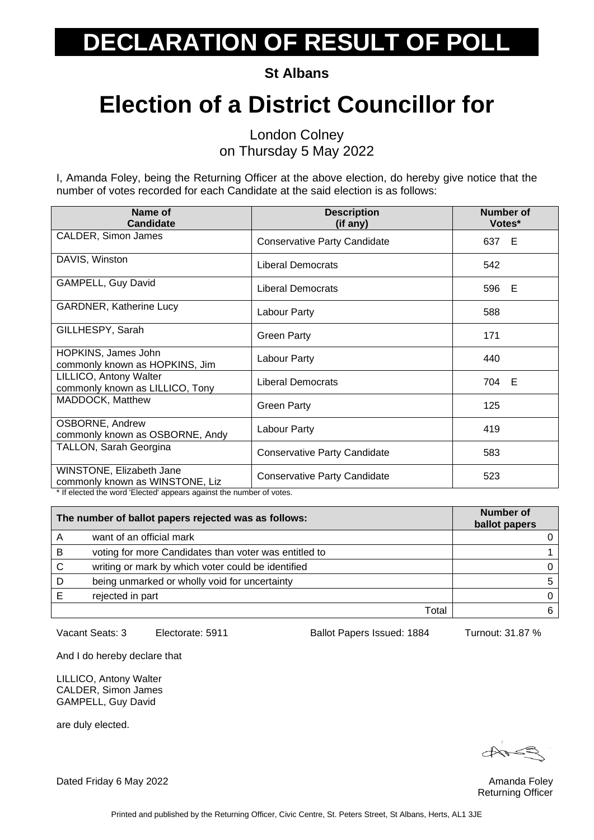**St Albans**

### **Election of a District Councillor for**

London Colney on Thursday 5 May 2022

I, Amanda Foley, being the Returning Officer at the above election, do hereby give notice that the number of votes recorded for each Candidate at the said election is as follows:

| Name of<br><b>Candidate</b>                                                                                                        | <b>Description</b><br>(if any)      | <b>Number of</b><br>Votes* |
|------------------------------------------------------------------------------------------------------------------------------------|-------------------------------------|----------------------------|
| CALDER, Simon James                                                                                                                | <b>Conservative Party Candidate</b> | 637 E                      |
| DAVIS, Winston                                                                                                                     | <b>Liberal Democrats</b>            | 542                        |
| <b>GAMPELL, Guy David</b>                                                                                                          | <b>Liberal Democrats</b>            | 596 E                      |
| <b>GARDNER, Katherine Lucy</b>                                                                                                     | Labour Party                        | 588                        |
| GILLHESPY, Sarah                                                                                                                   | <b>Green Party</b>                  | 171                        |
| HOPKINS, James John<br>commonly known as HOPKINS, Jim                                                                              | Labour Party                        | 440                        |
| LILLICO, Antony Walter<br>commonly known as LILLICO, Tony                                                                          | <b>Liberal Democrats</b>            | 704 E                      |
| MADDOCK, Matthew                                                                                                                   | <b>Green Party</b>                  | 125                        |
| OSBORNE, Andrew<br>commonly known as OSBORNE, Andy                                                                                 | Labour Party                        | 419                        |
| TALLON, Sarah Georgina                                                                                                             | <b>Conservative Party Candidate</b> | 583                        |
| WINSTONE, Elizabeth Jane<br>commonly known as WINSTONE, Liz<br>* If algoted the word 'Elected' enneare equipot the number of vator | <b>Conservative Party Candidate</b> | 523                        |

If elected the word 'Elected' appears against the number of votes.

| The number of ballot papers rejected was as follows: |                                                       | Number of<br>ballot papers |
|------------------------------------------------------|-------------------------------------------------------|----------------------------|
|                                                      | want of an official mark                              |                            |
| В                                                    | voting for more Candidates than voter was entitled to |                            |
| C                                                    | writing or mark by which voter could be identified    |                            |
| D                                                    | being unmarked or wholly void for uncertainty         | 5                          |
|                                                      | rejected in part                                      |                            |
|                                                      | Total                                                 |                            |

Vacant Seats: 3 Electorate: 5911 Ballot Papers Issued: 1884 Turnout: 31.87 %

And I do hereby declare that

LILLICO, Antony Walter CALDER, Simon James GAMPELL, Guy David

are duly elected.

Returning Officer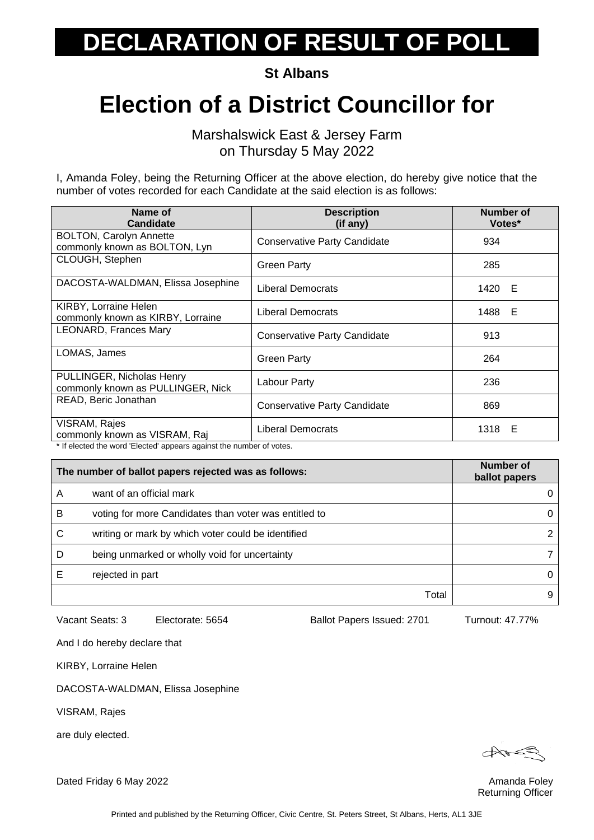**St Albans**

#### **Election of a District Councillor for**

Marshalswick East & Jersey Farm on Thursday 5 May 2022

I, Amanda Foley, being the Returning Officer at the above election, do hereby give notice that the number of votes recorded for each Candidate at the said election is as follows:

| Name of<br><b>Candidate</b>                                     | <b>Description</b><br>(if any)      | <b>Number of</b><br>Votes* |
|-----------------------------------------------------------------|-------------------------------------|----------------------------|
| <b>BOLTON, Carolyn Annette</b><br>commonly known as BOLTON, Lyn | <b>Conservative Party Candidate</b> | 934                        |
| CLOUGH, Stephen                                                 | <b>Green Party</b>                  | 285                        |
| DACOSTA-WALDMAN, Elissa Josephine                               | Liberal Democrats                   | 1420 E                     |
| KIRBY, Lorraine Helen<br>commonly known as KIRBY, Lorraine      | <b>Liberal Democrats</b>            | 1488 E                     |
| <b>LEONARD, Frances Mary</b>                                    | Conservative Party Candidate        | 913                        |
| LOMAS, James                                                    | <b>Green Party</b>                  | 264                        |
| PULLINGER, Nicholas Henry<br>commonly known as PULLINGER, Nick  | Labour Party                        | 236                        |
| READ, Beric Jonathan                                            | Conservative Party Candidate        | 869                        |
| VISRAM, Rajes<br>commonly known as VISRAM, Raj                  | Liberal Democrats                   | 1318 E                     |

\* If elected the word 'Elected' appears against the number of votes.

| The number of ballot papers rejected was as follows: |                                                       | Number of<br>ballot papers |
|------------------------------------------------------|-------------------------------------------------------|----------------------------|
| A                                                    | want of an official mark                              |                            |
| B                                                    | voting for more Candidates than voter was entitled to | 0                          |
| С                                                    | writing or mark by which voter could be identified    | $\mathcal{P}$              |
| D                                                    | being unmarked or wholly void for uncertainty         |                            |
|                                                      | rejected in part                                      | 0                          |
|                                                      | Total                                                 | 9                          |

Printed and published by the Returning Officer, Civic Centre, St. Peters Street, St Albans, Herts, AL1 3JE

Vacant Seats: 3 Electorate: 5654 Ballot Papers Issued: 2701 Turnout: 47.77%

And I do hereby declare that

KIRBY, Lorraine Helen

DACOSTA-WALDMAN, Elissa Josephine

VISRAM, Rajes

are duly elected.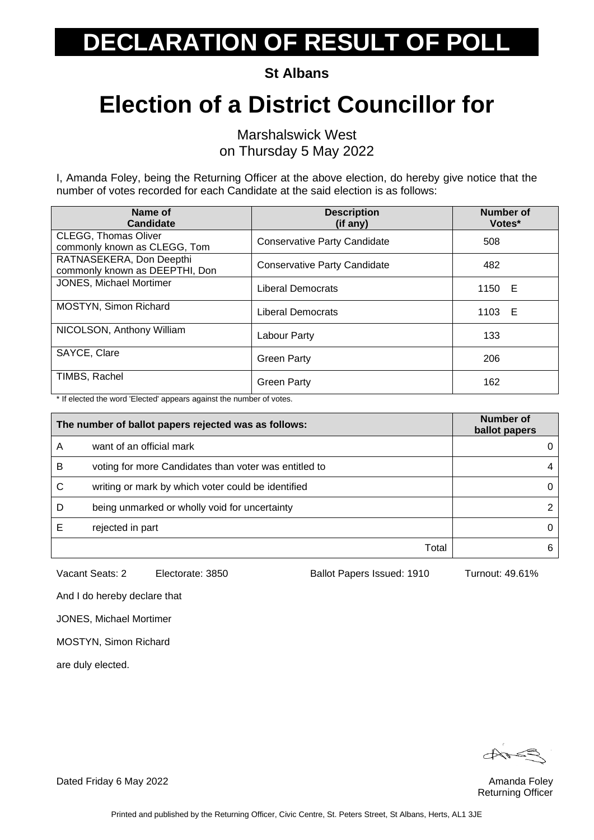**St Albans**

### **Election of a District Councillor for**

Marshalswick West on Thursday 5 May 2022

I, Amanda Foley, being the Returning Officer at the above election, do hereby give notice that the number of votes recorded for each Candidate at the said election is as follows:

| Name of<br><b>Candidate</b>                                 | <b>Description</b><br>(if any)      | Number of<br>Votes* |
|-------------------------------------------------------------|-------------------------------------|---------------------|
| <b>CLEGG, Thomas Oliver</b><br>commonly known as CLEGG, Tom | <b>Conservative Party Candidate</b> | 508                 |
| RATNASEKERA, Don Deepthi<br>commonly known as DEEPTHI, Don  | <b>Conservative Party Candidate</b> | 482                 |
| JONES, Michael Mortimer                                     | Liberal Democrats                   | 1150 E              |
| MOSTYN, Simon Richard                                       | Liberal Democrats                   | 1103 E              |
| NICOLSON, Anthony William                                   | Labour Party                        | 133                 |
| SAYCE, Clare                                                | <b>Green Party</b>                  | 206                 |
| TIMBS, Rachel                                               | <b>Green Party</b>                  | 162                 |

\* If elected the word 'Elected' appears against the number of votes.

| The number of ballot papers rejected was as follows: |                                                       | Number of<br>ballot papers |
|------------------------------------------------------|-------------------------------------------------------|----------------------------|
| A                                                    | want of an official mark                              |                            |
| в                                                    | voting for more Candidates than voter was entitled to | 4                          |
| С                                                    | writing or mark by which voter could be identified    | 0                          |
| D                                                    | being unmarked or wholly void for uncertainty         |                            |
|                                                      | rejected in part                                      | 0                          |
|                                                      | Total                                                 | 6                          |

Vacant Seats: 2 Electorate: 3850 Ballot Papers Issued: 1910 Turnout: 49.61%

And I do hereby declare that

JONES, Michael Mortimer

MOSTYN, Simon Richard

are duly elected.

Returning Officer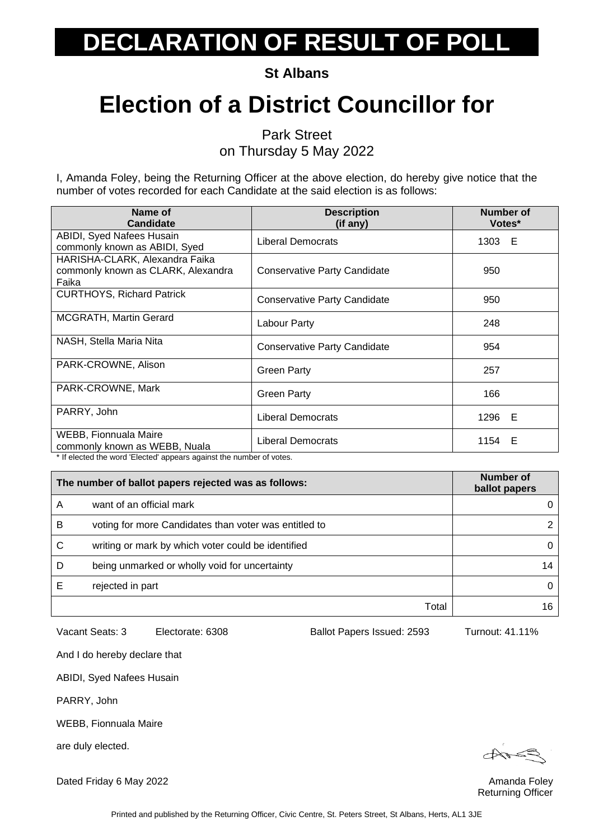**St Albans**

### **Election of a District Councillor for**

Park Street

on Thursday 5 May 2022

I, Amanda Foley, being the Returning Officer at the above election, do hereby give notice that the number of votes recorded for each Candidate at the said election is as follows:

| Name of<br><b>Candidate</b>                                                                                                                                  | <b>Description</b><br>(if any)      | <b>Number of</b><br>Votes* |
|--------------------------------------------------------------------------------------------------------------------------------------------------------------|-------------------------------------|----------------------------|
| ABIDI, Syed Nafees Husain<br>commonly known as ABIDI, Syed                                                                                                   | <b>Liberal Democrats</b>            | 1303 E                     |
| HARISHA-CLARK, Alexandra Faika<br>commonly known as CLARK, Alexandra<br>Faika                                                                                | <b>Conservative Party Candidate</b> | 950                        |
| <b>CURTHOYS, Richard Patrick</b>                                                                                                                             | <b>Conservative Party Candidate</b> | 950                        |
| <b>MCGRATH, Martin Gerard</b>                                                                                                                                | Labour Party                        | 248                        |
| NASH, Stella Maria Nita                                                                                                                                      | <b>Conservative Party Candidate</b> | 954                        |
| PARK-CROWNE, Alison                                                                                                                                          | <b>Green Party</b>                  | 257                        |
| PARK-CROWNE, Mark                                                                                                                                            | <b>Green Party</b>                  | 166                        |
| PARRY, John                                                                                                                                                  | <b>Liberal Democrats</b>            | 1296 E                     |
| WEBB, Fionnuala Maire<br>commonly known as WEBB, Nuala<br>المقطعان فمالو والمسارمان منافسة فستمتم ومستمر مستناس المستقطع المستنب والمساوية والمستقام الأرائح | <b>Liberal Democrats</b>            | 1154 E                     |

If elected the word 'Elected' appears against the number of votes.

| The number of ballot papers rejected was as follows: |                                                       | Number of<br>ballot papers |
|------------------------------------------------------|-------------------------------------------------------|----------------------------|
| Α                                                    | want of an official mark                              | 0                          |
| B                                                    | voting for more Candidates than voter was entitled to |                            |
| C                                                    | writing or mark by which voter could be identified    | 0                          |
| D                                                    | being unmarked or wholly void for uncertainty         | 14                         |
|                                                      | rejected in part                                      | 0                          |
|                                                      | Total                                                 | 16                         |

Vacant Seats: 3 Electorate: 6308 Ballot Papers Issued: 2593 Turnout: 41.11%

And I do hereby declare that

ABIDI, Syed Nafees Husain

PARRY, John

WEBB, Fionnuala Maire

are duly elected.

Returning Officer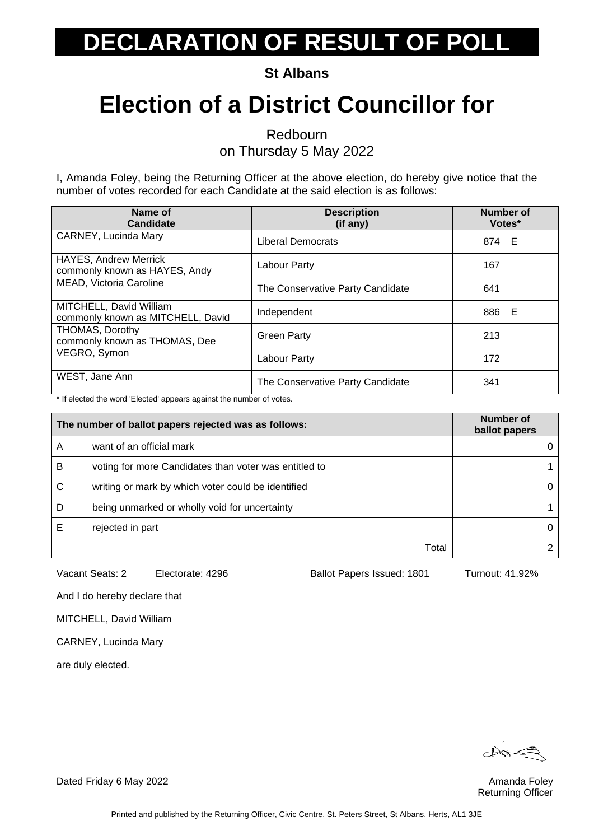**St Albans**

### **Election of a District Councillor for**

Redbourn

on Thursday 5 May 2022

I, Amanda Foley, being the Returning Officer at the above election, do hereby give notice that the number of votes recorded for each Candidate at the said election is as follows:

| Name of<br><b>Candidate</b>                                   | <b>Description</b><br>(if any)   | <b>Number of</b><br>Votes* |
|---------------------------------------------------------------|----------------------------------|----------------------------|
| CARNEY, Lucinda Mary                                          | Liberal Democrats                | 874 E                      |
| <b>HAYES, Andrew Merrick</b><br>commonly known as HAYES, Andy | Labour Party                     | 167                        |
| MEAD, Victoria Caroline                                       | The Conservative Party Candidate | 641                        |
| MITCHELL, David William<br>commonly known as MITCHELL, David  | Independent                      | 886 E                      |
| <b>THOMAS, Dorothy</b><br>commonly known as THOMAS, Dee       | <b>Green Party</b>               | 213                        |
| VEGRO, Symon                                                  | Labour Party                     | 172                        |
| WEST, Jane Ann                                                | The Conservative Party Candidate | 341                        |

\* If elected the word 'Elected' appears against the number of votes.

| The number of ballot papers rejected was as follows: |                                                       | Number of<br>ballot papers |
|------------------------------------------------------|-------------------------------------------------------|----------------------------|
| А                                                    | want of an official mark                              | 0                          |
| B                                                    | voting for more Candidates than voter was entitled to |                            |
| С                                                    | writing or mark by which voter could be identified    | 0                          |
| D                                                    | being unmarked or wholly void for uncertainty         |                            |
|                                                      | rejected in part                                      | 0                          |
|                                                      | Total                                                 |                            |

Vacant Seats: 2 Electorate: 4296 Ballot Papers Issued: 1801 Turnout: 41.92%

And I do hereby declare that

MITCHELL, David William

CARNEY, Lucinda Mary

are duly elected.

Returning Officer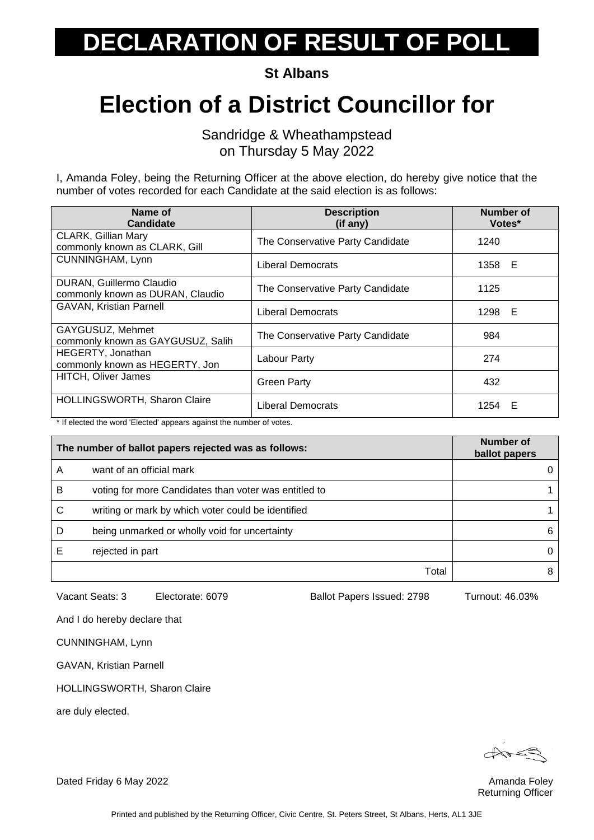**St Albans**

#### **Election of a District Councillor for**

Sandridge & Wheathampstead on Thursday 5 May 2022

I, Amanda Foley, being the Returning Officer at the above election, do hereby give notice that the number of votes recorded for each Candidate at the said election is as follows:

| Name of<br>Candidate                                         | <b>Description</b><br>(if any)   | Number of<br>Votes* |
|--------------------------------------------------------------|----------------------------------|---------------------|
| <b>CLARK, Gillian Mary</b><br>commonly known as CLARK, Gill  | The Conservative Party Candidate | 1240                |
| <b>CUNNINGHAM, Lynn</b>                                      | Liberal Democrats                | 1358 E              |
| DURAN, Guillermo Claudio<br>commonly known as DURAN, Claudio | The Conservative Party Candidate | 1125                |
| <b>GAVAN, Kristian Parnell</b>                               | Liberal Democrats                | 1298 E              |
| GAYGUSUZ, Mehmet<br>commonly known as GAYGUSUZ, Salih        | The Conservative Party Candidate | 984                 |
| HEGERTY, Jonathan<br>commonly known as HEGERTY, Jon          | Labour Party                     | 274                 |
| <b>HITCH, Oliver James</b>                                   | <b>Green Party</b>               | 432                 |
| HOLLINGSWORTH, Sharon Claire                                 | <b>Liberal Democrats</b>         | 1254 E              |

\* If elected the word 'Elected' appears against the number of votes.

| The number of ballot papers rejected was as follows: |                                                       | Number of<br>ballot papers |
|------------------------------------------------------|-------------------------------------------------------|----------------------------|
| А                                                    | want of an official mark                              | $\Omega$                   |
| B                                                    | voting for more Candidates than voter was entitled to |                            |
| С                                                    | writing or mark by which voter could be identified    |                            |
| D                                                    | being unmarked or wholly void for uncertainty         | 6                          |
|                                                      | rejected in part                                      | 0                          |
|                                                      | Total                                                 | 8                          |

Vacant Seats: 3 Electorate: 6079 Ballot Papers Issued: 2798 Turnout: 46.03%

And I do hereby declare that

CUNNINGHAM, Lynn

GAVAN, Kristian Parnell

HOLLINGSWORTH, Sharon Claire

are duly elected.

Returning Officer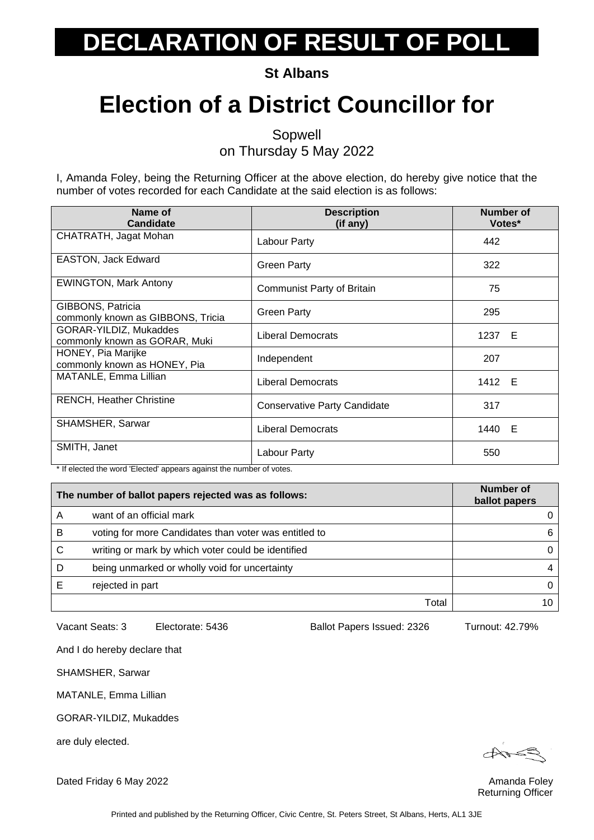**St Albans**

### **Election of a District Councillor for**

Sopwell

on Thursday 5 May 2022

I, Amanda Foley, being the Returning Officer at the above election, do hereby give notice that the number of votes recorded for each Candidate at the said election is as follows:

| Name of<br><b>Candidate</b>                             | <b>Description</b><br>(if any)      | Number of<br>Votes* |
|---------------------------------------------------------|-------------------------------------|---------------------|
| CHATRATH, Jagat Mohan                                   | Labour Party                        | 442                 |
| <b>EASTON, Jack Edward</b>                              | Green Party                         | 322                 |
| <b>EWINGTON, Mark Antony</b>                            | <b>Communist Party of Britain</b>   | 75                  |
| GIBBONS, Patricia<br>commonly known as GIBBONS, Tricia  | <b>Green Party</b>                  | 295                 |
| GORAR-YILDIZ, Mukaddes<br>commonly known as GORAR, Muki | Liberal Democrats                   | 1237 E              |
| HONEY, Pia Marijke<br>commonly known as HONEY, Pia      | Independent                         | 207                 |
| MATANLE, Emma Lillian                                   | <b>Liberal Democrats</b>            | 1412 E              |
| <b>RENCH, Heather Christine</b>                         | <b>Conservative Party Candidate</b> | 317                 |
| <b>SHAMSHER, Sarwar</b>                                 | <b>Liberal Democrats</b>            | 1440 E              |
| SMITH, Janet                                            | Labour Party                        | 550                 |

\* If elected the word 'Elected' appears against the number of votes.

|   | The number of ballot papers rejected was as follows:  | Number of<br>ballot papers |
|---|-------------------------------------------------------|----------------------------|
|   | want of an official mark                              |                            |
| B | voting for more Candidates than voter was entitled to | 6                          |
| C | writing or mark by which voter could be identified    |                            |
| D | being unmarked or wholly void for uncertainty         |                            |
|   | rejected in part                                      |                            |
|   | Total                                                 |                            |

Vacant Seats: 3 Electorate: 5436 Ballot Papers Issued: 2326 Turnout: 42.79%

And I do hereby declare that

SHAMSHER, Sarwar

MATANLE, Emma Lillian

GORAR-YILDIZ, Mukaddes

are duly elected.

Returning Officer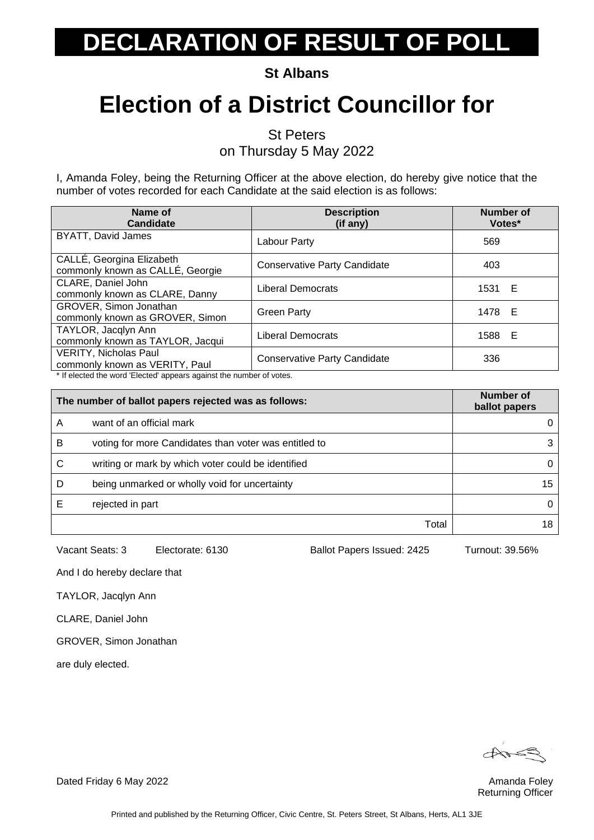**St Albans**

### **Election of a District Councillor for**

St Peters

on Thursday 5 May 2022

I, Amanda Foley, being the Returning Officer at the above election, do hereby give notice that the number of votes recorded for each Candidate at the said election is as follows:

| Name of<br><b>Candidate</b>                                                                           | <b>Description</b><br>(if any)      | <b>Number of</b><br>Votes* |
|-------------------------------------------------------------------------------------------------------|-------------------------------------|----------------------------|
| <b>BYATT, David James</b>                                                                             | Labour Party                        | 569                        |
| CALLÉ, Georgina Elizabeth<br>commonly known as CALLÉ, Georgie                                         | <b>Conservative Party Candidate</b> | 403                        |
| CLARE, Daniel John<br>commonly known as CLARE, Danny                                                  | <b>Liberal Democrats</b>            | 1531 E                     |
| GROVER, Simon Jonathan<br>commonly known as GROVER, Simon                                             | <b>Green Party</b>                  | 1478 E                     |
| TAYLOR, Jacqlyn Ann<br>commonly known as TAYLOR, Jacqui                                               | <b>Liberal Democrats</b>            | 1588 E                     |
| <b>VERITY, Nicholas Paul</b><br>commonly known as VERITY, Paul<br>the planted the word $\blacksquare$ | <b>Conservative Party Candidate</b> | 336                        |

If elected the word 'Elected' appears against the number of votes.

| The number of ballot papers rejected was as follows: |                                                       | Number of<br>ballot papers |
|------------------------------------------------------|-------------------------------------------------------|----------------------------|
| Α                                                    | want of an official mark                              |                            |
| B                                                    | voting for more Candidates than voter was entitled to |                            |
| С                                                    | writing or mark by which voter could be identified    |                            |
| D                                                    | being unmarked or wholly void for uncertainty         | 15                         |
|                                                      | rejected in part                                      |                            |
|                                                      | Total                                                 |                            |

Vacant Seats: 3 Electorate: 6130 Ballot Papers Issued: 2425 Turnout: 39.56%

And I do hereby declare that

TAYLOR, Jacqlyn Ann

CLARE, Daniel John

GROVER, Simon Jonathan

are duly elected.

Returning Officer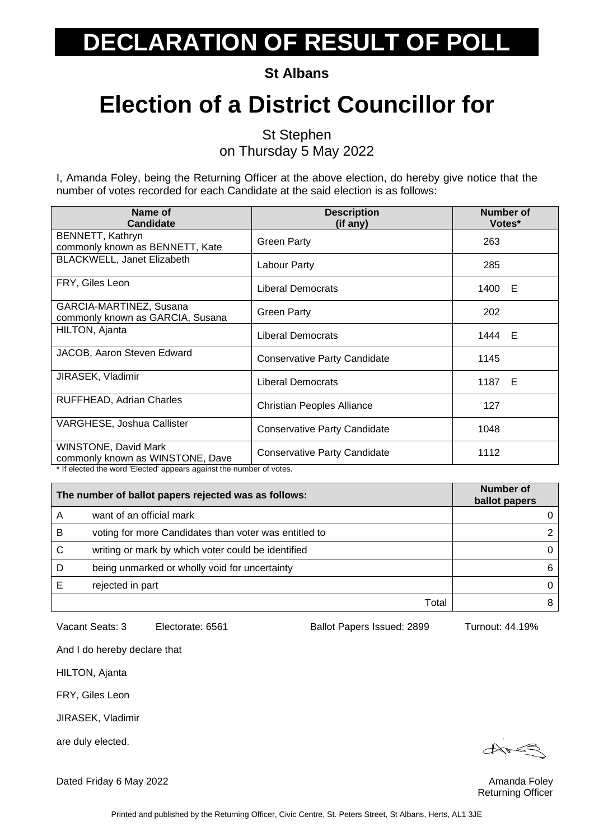**St Albans**

### **Election of a District Councillor for**

St Stephen on Thursday 5 May 2022

I, Amanda Foley, being the Returning Officer at the above election, do hereby give notice that the number of votes recorded for each Candidate at the said election is as follows:

| Name of<br><b>Candidate</b>                                          | <b>Description</b><br>(if any)      | Number of<br>Votes* |
|----------------------------------------------------------------------|-------------------------------------|---------------------|
| BENNETT, Kathryn<br>commonly known as BENNETT, Kate                  | <b>Green Party</b>                  | 263                 |
| BLACKWELL, Janet Elizabeth                                           | Labour Party                        | 285                 |
| FRY, Giles Leon                                                      | Liberal Democrats                   | 1400 E              |
| GARCIA-MARTINEZ, Susana<br>commonly known as GARCIA, Susana          | <b>Green Party</b>                  | 202                 |
| HILTON, Ajanta                                                       | <b>Liberal Democrats</b>            | 1444 E              |
| JACOB, Aaron Steven Edward                                           | <b>Conservative Party Candidate</b> | 1145                |
| JIRASEK, Vladimir                                                    | <b>Liberal Democrats</b>            | 1187 E              |
| RUFFHEAD, Adrian Charles                                             | <b>Christian Peoples Alliance</b>   | 127                 |
| VARGHESE, Joshua Callister                                           | <b>Conservative Party Candidate</b> | 1048                |
| <b>WINSTONE, David Mark</b><br>commonly known as WINSTONE, Dave      | <b>Conservative Party Candidate</b> | 1112                |
| * If elected the word 'Elected' appears against the number of votes. |                                     |                     |

| The number of ballot papers rejected was as follows: |                                                       | <b>Number of</b><br>ballot papers |
|------------------------------------------------------|-------------------------------------------------------|-----------------------------------|
| Α                                                    | want of an official mark                              |                                   |
| B                                                    | voting for more Candidates than voter was entitled to |                                   |
| C                                                    | writing or mark by which voter could be identified    |                                   |
| D                                                    | being unmarked or wholly void for uncertainty         |                                   |
|                                                      | rejected in part                                      |                                   |
|                                                      | Total                                                 |                                   |

Vacant Seats: 3 Electorate: 6561 Ballot Papers Issued: 2899 Turnout: 44.19%

And I do hereby declare that

HILTON, Ajanta

FRY, Giles Leon

JIRASEK, Vladimir

are duly elected.

 $\bigoplus_{\mathcal{A}} \mathcal{A} \subseteq \mathcal{B}$ 

Returning Officer